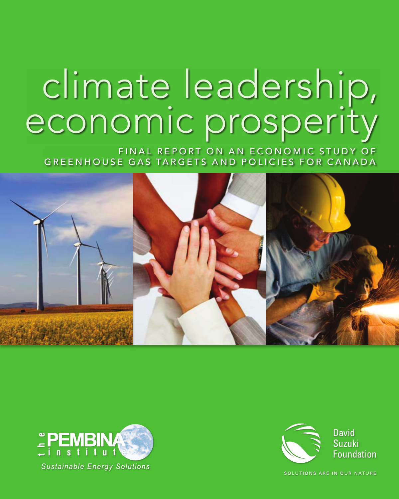# climate leadership, economic prosperity

FINAL REPORT ON AN ECONOMIC STUDY OF GREENHOUSE GAS TARGETS AND POLICIES FOR CANADA







SOLUTIONS ARE IN OUR NATURE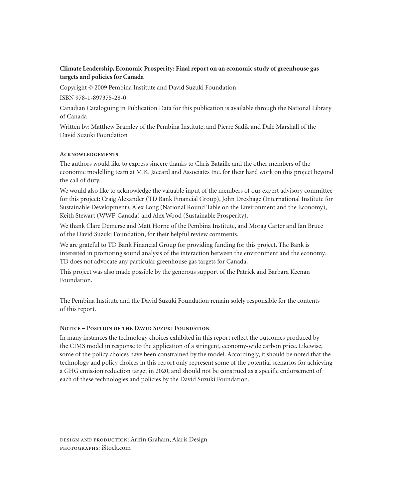#### **Climate Leadership, Economic Prosperity: Final report on an economic study of greenhouse gas targets and policies for Canada**

Copyright © 2009 Pembina Institute and David Suzuki Foundation

ISBN 978-1-897375-28-0

Canadian Cataloguing in Publication Data for this publication is available through the National Library of Canada

Written by: Matthew Bramley of the Pembina Institute, and Pierre Sadik and Dale Marshall of the David Suzuki Foundation

#### **Acknowledgements**

The authors would like to express sincere thanks to Chris Bataille and the other members of the economic modelling team at M.K. Jaccard and Associates Inc. for their hard work on this project beyond the call of duty.

We would also like to acknowledge the valuable input of the members of our expert advisory committee for this project: Craig Alexander (TD Bank Financial Group), John Drexhage (International Institute for Sustainable Development), Alex Long (National Round Table on the Environment and the Economy), Keith Stewart (WWF-Canada) and Alex Wood (Sustainable Prosperity).

We thank Clare Demerse and Matt Horne of the Pembina Institute, and Morag Carter and Ian Bruce of the David Suzuki Foundation, for their helpful review comments.

We are grateful to TD Bank Financial Group for providing funding for this project. The Bank is interested in promoting sound analysis of the interaction between the environment and the economy. TD does not advocate any particular greenhouse gas targets for Canada.

This project was also made possible by the generous support of the Patrick and Barbara Keenan Foundation.

The Pembina Institute and the David Suzuki Foundation remain solely responsible for the contents of this report.

#### **Notice – Position of the David Suzuki Foundation**

In many instances the technology choices exhibited in this report reflect the outcomes produced by the CIMS model in response to the application of a stringent, economy-wide carbon price. Likewise, some of the policy choices have been constrained by the model. Accordingly, it should be noted that the technology and policy choices in this report only represent some of the potential scenarios for achieving a GHG emission reduction target in 2020, and should not be construed as a specific endorsement of each of these technologies and policies by the David Suzuki Foundation.

design and production: Arifin Graham, Alaris Design photographs: iStock.com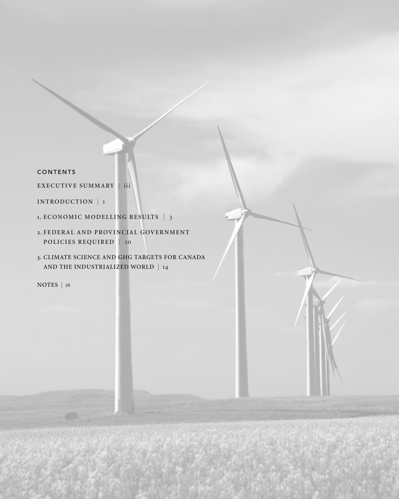#### CONTENTS

**E X E C U T I V E S U M M A RY |** iii

**INTRODUCTION** | 1

- 1. ECONOMIC MODELLING RESULTS | 3
- 2. FEDERAL AND PROVINCIAL GOVERNMENT **policies required** | 10
- **3. climate science and GHG targets for Canada and the industrialized world** | 14

**NOTES |** 16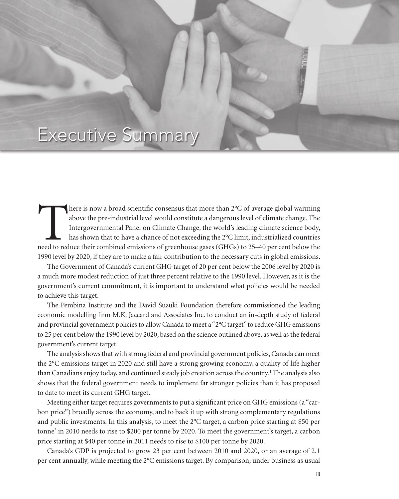## Executive Summary

here is now a broad scientific consensus that more than 2°C of average global warming above the pre-industrial level would constitute a dangerous level of climate change. The Intergovernmental Panel on Climate Change, the above the pre-industrial level would constitute a dangerous level of climate change. The Intergovernmental Panel on Climate Change, the world's leading climate science body, has shown that to have a chance of not exceeding the 2°C limit, industrialized countries 1990 level by 2020, if they are to make a fair contribution to the necessary cuts in global emissions.

c l i m at e a d e r s h i p, E c o n o m i c o n o m i c P r o m i c p e r o n o m i c p e r o s p e r o s p

The Government of Canada's current GHG target of 20 per cent below the 2006 level by 2020 is a much more modest reduction of just three percent relative to the 1990 level. However, as it is the government's current commitment, it is important to understand what policies would be needed to achieve this target.

The Pembina Institute and the David Suzuki Foundation therefore commissioned the leading economic modelling firm M.K. Jaccard and Associates Inc. to conduct an in-depth study of federal and provincial government policies to allow Canada to meet a "2°C target" to reduce GHG emissions to 25 per cent below the 1990 level by 2020, based on the science outlined above, as well as the federal government's current target.

The analysis shows that with strong federal and provincial government policies, Canada can meet the 2°C emissions target in 2020 and still have a strong growing economy, a quality of life higher than Canadians enjoy today, and continued steady job creation across the country.<sup>1</sup> The analysis also shows that the federal government needs to implement far stronger policies than it has proposed to date to meet its current GHG target.

Meeting either target requires governments to put a significant price on GHG emissions (a "carbon price") broadly across the economy, and to back it up with strong complementary regulations and public investments. In this analysis, to meet the 2°C target, a carbon price starting at \$50 per tonne<sup>2</sup> in 2010 needs to rise to \$200 per tonne by 2020. To meet the government's target, a carbon price starting at \$40 per tonne in 2011 needs to rise to \$100 per tonne by 2020.

Canada's GDP is projected to grow 23 per cent between 2010 and 2020, or an average of 2.1 per cent annually, while meeting the 2°C emissions target. By comparison, under business as usual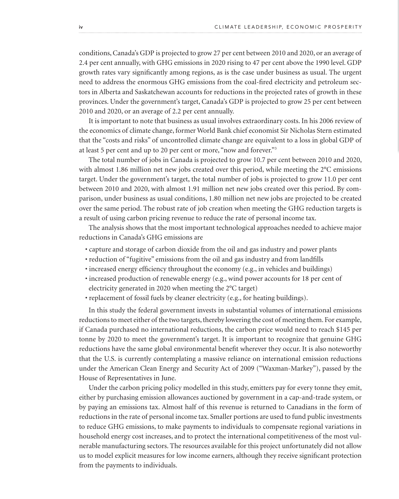conditions, Canada's GDP is projected to grow 27 per cent between 2010 and 2020, or an average of 2.4 per cent annually, with GHG emissions in 2020 rising to 47 per cent above the 1990 level. GDP growth rates vary significantly among regions, as is the case under business as usual. The urgent need to address the enormous GHG emissions from the coal-fired electricity and petroleum sectors in Alberta and Saskatchewan accounts for reductions in the projected rates of growth in these provinces. Under the government's target, Canada's GDP is projected to grow 25 per cent between 2010 and 2020, or an average of 2.2 per cent annually.

It is important to note that business as usual involves extraordinary costs. In his 2006 review of the economics of climate change, former World Bank chief economist Sir Nicholas Stern estimated that the "costs and risks" of uncontrolled climate change are equivalent to a loss in global GDP of at least 5 per cent and up to 20 per cent or more, "now and forever."3

The total number of jobs in Canada is projected to grow 10.7 per cent between 2010 and 2020, with almost 1.86 million net new jobs created over this period, while meeting the 2°C emissions target. Under the government's target, the total number of jobs is projected to grow 11.0 per cent between 2010 and 2020, with almost 1.91 million net new jobs created over this period. By comparison, under business as usual conditions, 1.80 million net new jobs are projected to be created over the same period. The robust rate of job creation when meeting the GHG reduction targets is a result of using carbon pricing revenue to reduce the rate of personal income tax.

The analysis shows that the most important technological approaches needed to achieve major reductions in Canada's GHG emissions are

- capture and storage of carbon dioxide from the oil and gas industry and power plants
- reduction of "fugitive" emissions from the oil and gas industry and from landfills
- increased energy efficiency throughout the economy (e.g., in vehicles and buildings)
- increased production of renewable energy (e.g., wind power accounts for 18 per cent of electricity generated in 2020 when meeting the 2°C target)
- replacement of fossil fuels by cleaner electricity (e.g., for heating buildings).

In this study the federal government invests in substantial volumes of international emissions reductions to meet either of the two targets, thereby lowering the cost of meeting them. For example, if Canada purchased no international reductions, the carbon price would need to reach \$145 per tonne by 2020 to meet the government's target. It is important to recognize that genuine GHG reductions have the same global environmental benefit wherever they occur. It is also noteworthy that the U.S. is currently contemplating a massive reliance on international emission reductions under the American Clean Energy and Security Act of 2009 ("Waxman-Markey"), passed by the House of Representatives in June.

Under the carbon pricing policy modelled in this study, emitters pay for every tonne they emit, either by purchasing emission allowances auctioned by government in a cap-and-trade system, or by paying an emissions tax. Almost half of this revenue is returned to Canadians in the form of reductions in the rate of personal income tax. Smaller portions are used to fund public investments to reduce GHG emissions, to make payments to individuals to compensate regional variations in household energy cost increases, and to protect the international competitiveness of the most vulnerable manufacturing sectors. The resources available for this project unfortunately did not allow us to model explicit measures for low income earners, although they receive significant protection from the payments to individuals.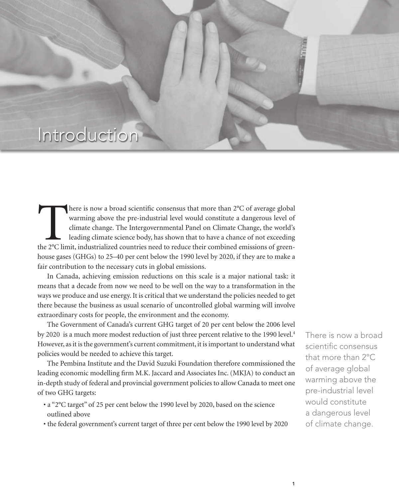## Introduction

There is now a broad scientific consensus that more than 2°C of average global warming above the pre-industrial level would constitute a dangerous level of climate change. The Intergovernmental Panel on Climate Change, the warming above the pre-industrial level would constitute a dangerous level of climate change. The Intergovernmental Panel on Climate Change, the world's leading climate science body, has shown that to have a chance of not exceeding house gases (GHGs) to 25–40 per cent below the 1990 level by 2020, if they are to make a fair contribution to the necessary cuts in global emissions.

c l i m at e c a n d e a n d e r s h i p, i m at e r s a n d c l i m at e c o n o m i c e r o m i c e r o r o

In Canada, achieving emission reductions on this scale is a major national task: it means that a decade from now we need to be well on the way to a transformation in the ways we produce and use energy. It is critical that we understand the policies needed to get there because the business as usual scenario of uncontrolled global warming will involve extraordinary costs for people, the environment and the economy.

The Government of Canada's current GHG target of 20 per cent below the 2006 level by 2020 is a much more modest reduction of just three percent relative to the 1990 level.<sup>4</sup> However, as it is the government's current commitment, it is important to understand what policies would be needed to achieve this target.

The Pembina Institute and the David Suzuki Foundation therefore commissioned the leading economic modelling firm M.K. Jaccard and Associates Inc. (MKJA) to conduct an in-depth study of federal and provincial government policies to allow Canada to meet one of two GHG targets:

- a "2°C target" of 25 per cent below the 1990 level by 2020, based on the science outlined above
- the federal government's current target of three per cent below the 1990 level by 2020

There is now a broad scientific consensus that more than 2°C of average global warming above the pre-industrial level would constitute a dangerous level of climate change.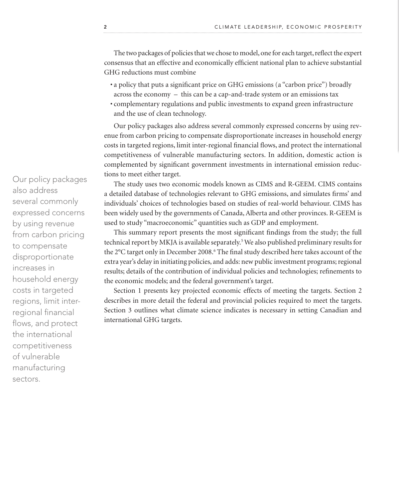The two packages of policies that we chose to model, one for each target, reflect the expert consensus that an effective and economically efficient national plan to achieve substantial GHG reductions must combine

- a policy that puts a significant price on GHG emissions (a "carbon price") broadly across the economy – this can be a cap-and-trade system or an emissions tax
- complementary regulations and public investments to expand green infrastructure and the use of clean technology.

Our policy packages also address several commonly expressed concerns by using revenue from carbon pricing to compensate disproportionate increases in household energy costs in targeted regions, limit inter-regional financial flows, and protect the international competitiveness of vulnerable manufacturing sectors. In addition, domestic action is complemented by significant government investments in international emission reductions to meet either target.

The study uses two economic models known as CIMS and R-GEEM. CIMS contains a detailed database of technologies relevant to GHG emissions, and simulates firms' and individuals' choices of technologies based on studies of real-world behaviour. CIMS has been widely used by the governments of Canada, Alberta and other provinces. R-GEEM is used to study "macroeconomic" quantities such as GDP and employment.

This summary report presents the most significant findings from the study; the full technical report by MKJA is available separately.<sup>5</sup> We also published preliminary results for the 2°C target only in December 2008.<sup>6</sup> The final study described here takes account of the extra year's delay in initiating policies, and adds: new public investment programs; regional results; details of the contribution of individual policies and technologies; refinements to the economic models; and the federal government's target.

Section 1 presents key projected economic effects of meeting the targets. Section 2 describes in more detail the federal and provincial policies required to meet the targets. Section 3 outlines what climate science indicates is necessary in setting Canadian and international GHG targets.

Our policy packages also address several commonly expressed concerns by using revenue from carbon pricing to compensate disproportionate increases in household energy costs in targeted regions, limit interregional financial flows, and protect the international competitiveness of vulnerable manufacturing sectors.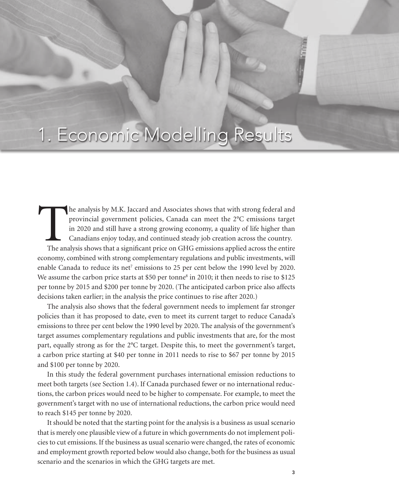# 1. Economic Modelling Results

c l i m at e r s h i p, i m at e c a n d c a n d c a n a d i a n m i n i n i n o m i c p e r o m i c e r o s p

The analysis by M.K. Jaccard and Associates shows that with strong federal and provincial government policies, Canada can meet the 2°C emissions target in 2020 and still have a strong growing economy, a quality of life hig provincial government policies, Canada can meet the 2°C emissions target in 2020 and still have a strong growing economy, a quality of life higher than Canadians enjoy today, and continued steady job creation across the country. economy, combined with strong complementary regulations and public investments, will enable Canada to reduce its net<sup>7</sup> emissions to 25 per cent below the 1990 level by 2020. We assume the carbon price starts at \$50 per tonne<sup>8</sup> in 2010; it then needs to rise to \$125 per tonne by 2015 and \$200 per tonne by 2020. (The anticipated carbon price also affects decisions taken earlier; in the analysis the price continues to rise after 2020.)

The analysis also shows that the federal government needs to implement far stronger policies than it has proposed to date, even to meet its current target to reduce Canada's emissions to three per cent below the 1990 level by 2020. The analysis of the government's target assumes complementary regulations and public investments that are, for the most part, equally strong as for the 2°C target. Despite this, to meet the government's target, a carbon price starting at \$40 per tonne in 2011 needs to rise to \$67 per tonne by 2015 and \$100 per tonne by 2020.

In this study the federal government purchases international emission reductions to meet both targets (see Section 1.4). If Canada purchased fewer or no international reductions, the carbon prices would need to be higher to compensate. For example, to meet the government's target with no use of international reductions, the carbon price would need to reach \$145 per tonne by 2020.

It should be noted that the starting point for the analysis is a business as usual scenario that is merely one plausible view of a future in which governments do not implement policies to cut emissions. If the business as usual scenario were changed, the rates of economic and employment growth reported below would also change, both for the business as usual scenario and the scenarios in which the GHG targets are met.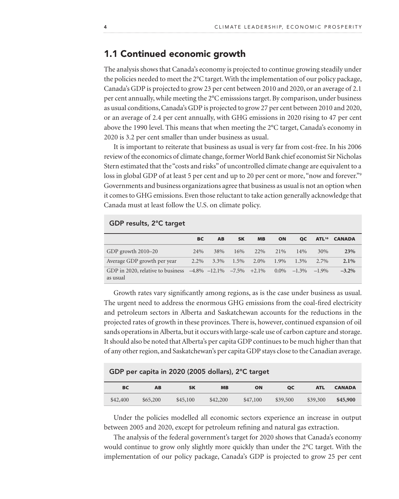### 1.1 Continued economic growth

The analysis shows that Canada's economy is projected to continue growing steadily under the policies needed to meet the 2°C target. With the implementation of our policy package, Canada's GDP is projected to grow 23 per cent between 2010 and 2020, or an average of 2.1 per cent annually, while meeting the 2°C emisssions target. By comparison, under business as usual conditions, Canada's GDP is projected to grow 27 per cent between 2010 and 2020, or an average of 2.4 per cent annually, with GHG emissions in 2020 rising to 47 per cent above the 1990 level. This means that when meeting the 2°C target, Canada's economy in 2020 is 3.2 per cent smaller than under business as usual.

It is important to reiterate that business as usual is very far from cost-free. In his 2006 review of the economics of climate change, former World Bank chief economist Sir Nicholas Stern estimated that the "costs and risks" of uncontrolled climate change are equivalent to a loss in global GDP of at least 5 per cent and up to 20 per cent or more, "now and forever."<sup>9</sup> Governments and business organizations agree that business as usual is not an option when it comes to GHG emissions. Even those reluctant to take action generally acknowledge that Canada must at least follow the U.S. on climate policy.

#### GDP results, 2°C target

|                                                                                    | BC   | AB                | <b>SK</b> | <b>MB</b> | ON   | QC             | ATL <sup>10</sup> | <b>CANADA</b> |
|------------------------------------------------------------------------------------|------|-------------------|-----------|-----------|------|----------------|-------------------|---------------|
| GDP growth 2010–20                                                                 | 24%  | 38%               | 16%       | 22\%      | 21\% | $14\%$         | 30%               | 23%           |
| Average GDP growth per year                                                        | 2.2% | $3.3\%$ 1.5% 2.0% |           |           | 1.9% | $1.3\%$        | $2.7\%$           | $2.1\%$       |
| GDP in 2020, relative to business $-4.8\%$ $-12.1\%$ $-7.5\%$ $+2.1\%$<br>as usual |      |                   |           |           |      | $0.0\% -1.3\%$ | $-1.9\%$          | $-3.2\%$      |

Growth rates vary significantly among regions, as is the case under business as usual. The urgent need to address the enormous GHG emissions from the coal-fired electricity and petroleum sectors in Alberta and Saskatchewan accounts for the reductions in the projected rates of growth in these provinces. There is, however, continued expansion of oil sands operations in Alberta, but it occurs with large-scale use of carbon capture and storage. It should also be noted that Alberta's per capita GDP continues to be much higher than that of any other region, and Saskatchewan's per capita GDP stays close to the Canadian average.

#### GDP per capita in 2020 (2005 dollars), 2°C target

| <b>BC</b> | <b>AB</b> | <b>SK</b> | <b>MB</b> | ON       | <b>QC</b> | <b>ATL</b> | <b>CANADA</b> |
|-----------|-----------|-----------|-----------|----------|-----------|------------|---------------|
| \$42,400  | \$65,200  | \$45,100  | \$42,200  | \$47,100 | \$39,500  | \$39,300   | \$45,900      |

Under the policies modelled all economic sectors experience an increase in output between 2005 and 2020, except for petroleum refining and natural gas extraction.

The analysis of the federal government's target for 2020 shows that Canada's economy would continue to grow only slightly more quickly than under the 2°C target. With the implementation of our policy package, Canada's GDP is projected to grow 25 per cent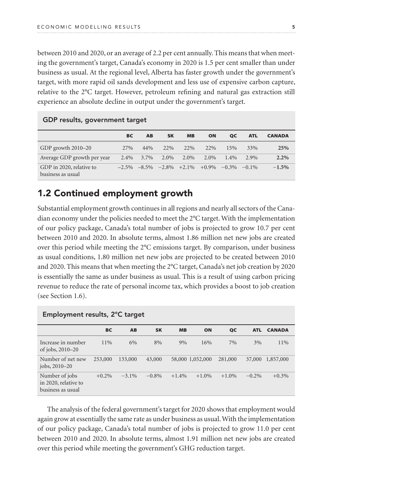between 2010 and 2020, or an average of 2.2 per cent annually. This means that when meeting the government's target, Canada's economy in 2020 is 1.5 per cent smaller than under business as usual. At the regional level, Alberta has faster growth under the government's target, with more rapid oil sands development and less use of expensive carbon capture, relative to the 2°C target. However, petroleum refining and natural gas extraction still experience an absolute decline in output under the government's target.

|                                               | <b>BC</b> | AB   | <b>SK</b> | <b>MB</b> | ON                                  | <b>QC</b> | <b>ATL</b> | <b>CANADA</b> |
|-----------------------------------------------|-----------|------|-----------|-----------|-------------------------------------|-----------|------------|---------------|
| GDP growth 2010–20                            | 27%       | 44%  | 22%       | 22%       | $22\%$                              | 15%       | 33%        | 25%           |
| Average GDP growth per year                   | 2.4%      | 3.7% | 2.0%      | 2.0%      | 2.0%                                | $1.4\%$   | $2.9\%$    | 2.2%          |
| GDP in 2020, relative to<br>business as usual | $-2.5\%$  |      |           |           | $-8.5\%$ $-2.8\%$ $+2.1\%$ $+0.9\%$ | $-0.3\%$  | $-0.1\%$   | $-1.5%$       |

#### GDP results, government target

### 1.2 Continued employment growth

Substantial employment growth continues in all regions and nearly all sectors of the Canadian economy under the policies needed to meet the 2°C target. With the implementation of our policy package, Canada's total number of jobs is projected to grow 10.7 per cent between 2010 and 2020. In absolute terms, almost 1.86 million net new jobs are created over this period while meeting the 2°C emissions target. By comparison, under business as usual conditions, 1.80 million net new jobs are projected to be created between 2010 and 2020. This means that when meeting the 2°C target, Canada's net job creation by 2020 is essentially the same as under business as usual. This is a result of using carbon pricing revenue to reduce the rate of personal income tax, which provides a boost to job creation (see Section 1.6).

|                                                             | <b>BC</b> | AB       | <b>SK</b> | <b>MB</b> | ON               | QC       | <b>ATL</b> | <b>CANADA</b> |
|-------------------------------------------------------------|-----------|----------|-----------|-----------|------------------|----------|------------|---------------|
| Increase in number<br>of jobs, $2010-20$                    | $11\%$    | 6%       | 8%        | 9%        | 16%              | 7%       | 3%         | 11%           |
| Number of net new<br>jobs, 2010–20                          | 253,000   | 133,000  | 43,000    |           | 58,000 1,052,000 | 281,000  | 37,000     | 1,857,000     |
| Number of jobs<br>in 2020, relative to<br>business as usual | $+0.2\%$  | $-3.1\%$ | $-0.8\%$  | $+1.4%$   | $+1.0\%$         | $+1.0\%$ | $-0.2\%$   | $+0.3\%$      |

#### Employment results, 2°C target

The analysis of the federal government's target for 2020 shows that employment would again grow at essentially the same rate as under business as usual. With the implementation of our policy package, Canada's total number of jobs is projected to grow 11.0 per cent between 2010 and 2020. In absolute terms, almost 1.91 million net new jobs are created over this period while meeting the government's GHG reduction target.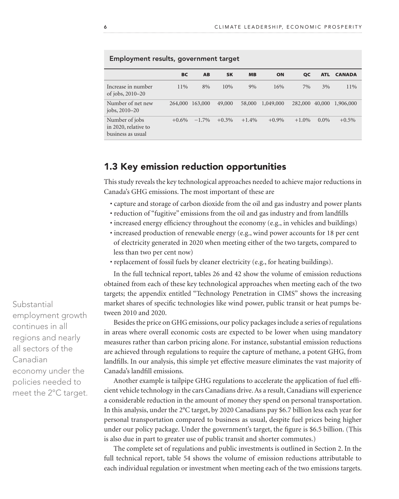|                                                             | <b>BC</b> | <b>AB</b>       | <b>SK</b> | <b>MB</b> | ON        | <b>QC</b> | <b>ATL</b> | <b>CANADA</b> |
|-------------------------------------------------------------|-----------|-----------------|-----------|-----------|-----------|-----------|------------|---------------|
| Increase in number<br>of jobs, $2010-20$                    | $11\%$    | 8%              | 10%       | 9%        | 16%       | 7%        | 3%         | 11%           |
| Number of net new<br>jobs, 2010–20                          |           | 264,000 163,000 | 49,000    | 58,000    | 1,049,000 | 282,000   | 40,000     | 1,906,000     |
| Number of jobs<br>in 2020, relative to<br>business as usual | $+0.6\%$  | $-1.7\%$        | $+0.3\%$  | $+1.4%$   | $+0.9\%$  | $+1.0%$   | $0.0\%$    | $+0.5\%$      |

#### Employment results, government target

#### 1.3 Key emission reduction opportunities

This study reveals the key technological approaches needed to achieve major reductions in Canada's GHG emissions. The most important of these are

- capture and storage of carbon dioxide from the oil and gas industry and power plants
- reduction of "fugitive" emissions from the oil and gas industry and from landfills
- increased energy efficiency throughout the economy (e.g., in vehicles and buildings)
- increased production of renewable energy (e.g., wind power accounts for 18 per cent of electricity generated in 2020 when meeting either of the two targets, compared to less than two per cent now)
- replacement of fossil fuels by cleaner electricity (e.g., for heating buildings).

In the full technical report, tables 26 and 42 show the volume of emission reductions obtained from each of these key technological approaches when meeting each of the two targets; the appendix entitled "Technology Penetration in CIMS" shows the increasing market shares of specific technologies like wind power, public transit or heat pumps between 2010 and 2020.

Besides the price on GHG emissions, our policy packages include a series of regulations in areas where overall economic costs are expected to be lower when using mandatory measures rather than carbon pricing alone. For instance, substantial emission reductions are achieved through regulations to require the capture of methane, a potent GHG, from landfills. In our analysis, this simple yet effective measure eliminates the vast majority of Canada's landfill emissions.

Another example is tailpipe GHG regulations to accelerate the application of fuel efficient vehicle technology in the cars Canadians drive. As a result, Canadians will experience a considerable reduction in the amount of money they spend on personal transportation. In this analysis, under the 2°C target, by 2020 Canadians pay \$6.7 billion less each year for personal transportation compared to business as usual, despite fuel prices being higher under our policy package. Under the government's target, the figure is \$6.5 billion. (This is also due in part to greater use of public transit and shorter commutes.)

The complete set of regulations and public investments is outlined in Section 2. In the full technical report, table 54 shows the volume of emission reductions attributable to each individual regulation or investment when meeting each of the two emissions targets.

**Substantial** employment growth continues in all regions and nearly all sectors of the Canadian economy under the policies needed to meet the 2°C target.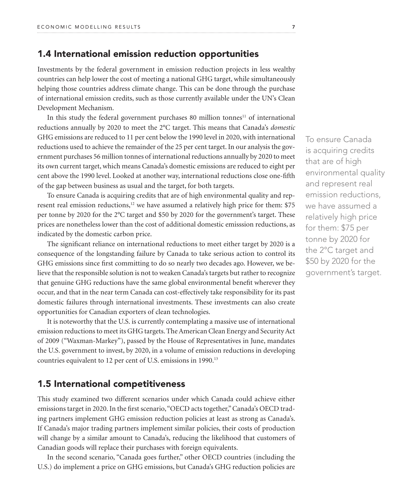#### 1.4 International emission reduction opportunities

Investments by the federal government in emission reduction projects in less wealthy countries can help lower the cost of meeting a national GHG target, while simultaneously helping those countries address climate change. This can be done through the purchase of international emission credits, such as those currently available under the UN's Clean Development Mechanism.

In this study the federal government purchases 80 million tonnes $11$  of international reductions annually by 2020 to meet the 2°C target. This means that Canada's *domestic* GHG emissions are reduced to 11 per cent below the 1990 level in 2020, with international reductions used to achieve the remainder of the 25 per cent target. In our analysis the government purchases 56 million tonnes of international reductions annually by 2020 to meet its own current target, which means Canada's domestic emissions are reduced to eight per cent above the 1990 level. Looked at another way, international reductions close one-fifth of the gap between business as usual and the target, for both targets.

To ensure Canada is acquiring credits that are of high environmental quality and represent real emission reductions,<sup>12</sup> we have assumed a relatively high price for them: \$75 per tonne by 2020 for the 2°C target and \$50 by 2020 for the government's target. These prices are nonetheless lower than the cost of additional domestic emisssion reductions, as indicated by the domestic carbon price.

The significant reliance on international reductions to meet either target by 2020 is a consequence of the longstanding failure by Canada to take serious action to control its GHG emissions since first committing to do so nearly two decades ago. However, we believe that the responsible solution is not to weaken Canada's targets but rather to recognize that genuine GHG reductions have the same global environmental benefit wherever they occur, and that in the near term Canada can cost-effectively take responsibility for its past domestic failures through international investments. These investments can also create opportunities for Canadian exporters of clean technologies.

It is noteworthy that the U.S. is currently contemplating a massive use of international emission reductions to meet its GHG targets. The American Clean Energy and Security Act of 2009 ("Waxman-Markey"), passed by the House of Representatives in June, mandates the U.S. government to invest, by 2020, in a volume of emission reductions in developing countries equivalent to 12 per cent of U.S. emissions in 1990.<sup>13</sup>

#### 1.5 International competitiveness

This study examined two different scenarios under which Canada could achieve either emissions target in 2020. In the first scenario, "OECD acts together," Canada's OECD trading partners implement GHG emission reduction policies at least as strong as Canada's. If Canada's major trading partners implement similar policies, their costs of production will change by a similar amount to Canada's, reducing the likelihood that customers of Canadian goods will replace their purchases with foreign equivalents.

In the second scenario, "Canada goes further," other OECD countries (including the U.S.) do implement a price on GHG emissions, but Canada's GHG reduction policies are To ensure Canada is acquiring credits that are of high environmental quality and represent real emission reductions, we have assumed a relatively high price for them: \$75 per tonne by 2020 for the 2°C target and \$50 by 2020 for the government's target.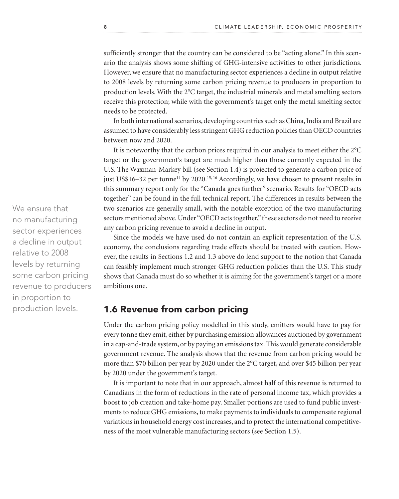sufficiently stronger that the country can be considered to be "acting alone." In this scenario the analysis shows some shifting of GHG-intensive activities to other jurisdictions. However, we ensure that no manufacturing sector experiences a decline in output relative to 2008 levels by returning some carbon pricing revenue to producers in proportion to production levels. With the 2°C target, the industrial minerals and metal smelting sectors receive this protection; while with the government's target only the metal smelting sector needs to be protected.

In both international scenarios, developing countries such as China, India and Brazil are assumed to have considerably less stringent GHG reduction policies than OECD countries between now and 2020.

It is noteworthy that the carbon prices required in our analysis to meet either the 2°C target or the government's target are much higher than those currently expected in the U.S. The Waxman-Markey bill (see Section 1.4) is projected to generate a carbon price of just US\$16–32 per tonne<sup>14</sup> by 2020.<sup>15, 16</sup> Accordingly, we have chosen to present results in this summary report only for the "Canada goes further" scenario. Results for "OECD acts together" can be found in the full technical report. The differences in results between the two scenarios are generally small, with the notable exception of the two manufacturing sectors mentioned above. Under "OECD acts together," these sectors do not need to receive any carbon pricing revenue to avoid a decline in output.

Since the models we have used do not contain an explicit representation of the U.S. economy, the conclusions regarding trade effects should be treated with caution. However, the results in Sections 1.2 and 1.3 above do lend support to the notion that Canada can feasibly implement much stronger GHG reduction policies than the U.S. This study shows that Canada must do so whether it is aiming for the government's target or a more ambitious one.

### 1.6 Revenue from carbon pricing

Under the carbon pricing policy modelled in this study, emitters would have to pay for every tonne they emit, either by purchasing emission allowances auctioned by government in a cap-and-trade system, or by paying an emissions tax. This would generate considerable government revenue. The analysis shows that the revenue from carbon pricing would be more than \$70 billion per year by 2020 under the 2°C target, and over \$45 billion per year by 2020 under the government's target.

It is important to note that in our approach, almost half of this revenue is returned to Canadians in the form of reductions in the rate of personal income tax, which provides a boost to job creation and take-home pay. Smaller portions are used to fund public investments to reduce GHG emissions, to make payments to individuals to compensate regional variations in household energy cost increases, and to protect the international competitiveness of the most vulnerable manufacturing sectors (see Section 1.5).

We ensure that no manufacturing sector experiences a decline in output relative to 2008 levels by returning some carbon pricing revenue to producers in proportion to production levels.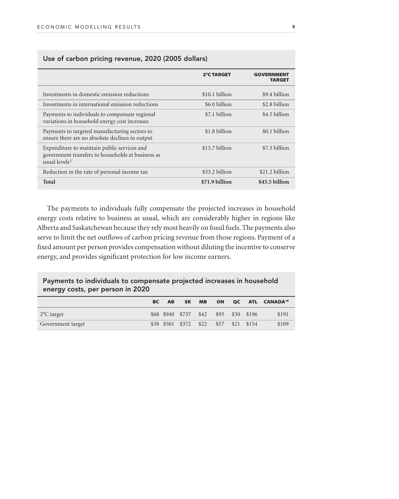|                                                                                                                                | <b>2°C TARGET</b> | <b>GOVERNMENT</b><br><b>TARGET</b> |
|--------------------------------------------------------------------------------------------------------------------------------|-------------------|------------------------------------|
| Investments in domestic emission reductions                                                                                    | \$10.1 billion    | \$9.4 billion                      |
| Investments in international emission reductions                                                                               | \$6.0 billion     | \$2.8 billion                      |
| Payments to individuals to compensate regional<br>variations in household energy cost increases                                | \$7.1 billion     | \$4.5 billion                      |
| Payments to targeted manufacturing sectors to<br>ensure there are no absolute declines in output                               | \$1.8 billion     | \$0.1 billion                      |
| Expenditure to maintain public services and<br>government transfers to households at business as<br>usual levels <sup>17</sup> | \$13.7 billion    | \$7.5 billion                      |
| Reduction in the rate of personal income tax                                                                                   | \$33.2 billion    | \$21.2 billion                     |
| Total                                                                                                                          | \$71.9 billion    | \$45.5 billion                     |

#### Use of carbon pricing revenue, 2020 (2005 dollars)

The payments to individuals fully compensate the projected increases in household energy costs relative to business as usual, which are considerably higher in regions like Alberta and Saskatchewan because they rely most heavily on fossil fuels. The payments also serve to limit the net outflows of carbon pricing revenue from those regions. Payment of a fixed amount per person provides compensation without diluting the incentive to conserve energy, and provides significant protection for low income earners.

#### Payments to individuals to compensate projected increases in household energy costs, per person in 2020

|                         | <b>BC</b> | <b>AB</b> | <b>SK</b>                  | <b>MB</b> | <b>ON</b> |            | <b>OC ATL CANADA<sup>18</sup></b> |
|-------------------------|-----------|-----------|----------------------------|-----------|-----------|------------|-----------------------------------|
| 2 <sup>o</sup> C target |           |           | \$68 \$940 \$737 \$42 \$93 |           |           | \$30 \$196 | \$191                             |
| Government target       |           |           | \$38 \$501 \$372 \$22      |           | \$57      | \$21 \$154 | \$109                             |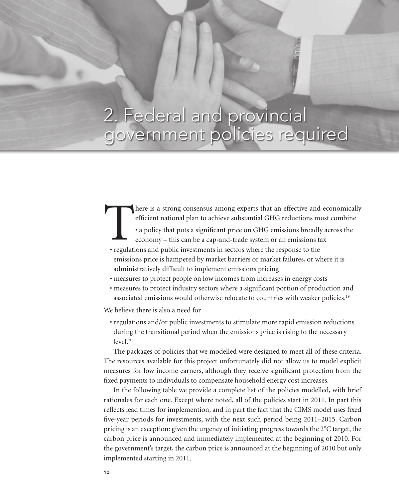# 2. Federal and provincial government policies required

10 c l i m at e a d e r s h i p, E c o n o m i c p e r o m i c p e r o m i c p e r o m i c p e r o m i c p e r

- There is a strong consensus among experts that an effective and economically efficient national plan to achieve substantial GHG reductions must combine . a policy that puts a significant price on GHG emissions broadly acro efficient national plan to achieve substantial GHG reductions must combine
	- a policy that puts a significant price on GHG emissions broadly across the economy – this can be a cap-and-trade system or an emissions tax
	- regulations and public investments in sectors where the response to the emissions price is hampered by market barriers or market failures, or where it is administratively difficult to implement emissions pricing
	- measures to protect people on low incomes from increases in energy costs
	- measures to protect industry sectors where a significant portion of production and associated emissions would otherwise relocate to countries with weaker policies.19

We believe there is also a need for

• regulations and/or public investments to stimulate more rapid emission reductions during the transitional period when the emissions price is rising to the necessary  $level.<sup>20</sup>$ 

The packages of policies that we modelled were designed to meet all of these criteria. The resources available for this project unfortunately did not allow us to model explicit measures for low income earners, although they receive significant protection from the fixed payments to individuals to compensate household energy cost increases.

In the following table we provide a complete list of the policies modelled, with brief rationales for each one. Except where noted, all of the policies start in 2011. In part this reflects lead times for implemention, and in part the fact that the CIMS model uses fixed five-year periods for investments, with the next such period being 2011–2015. Carbon pricing is an exception: given the urgency of initiating progress towards the 2°C target, the carbon price is announced and immediately implemented at the beginning of 2010. For the government's target, the carbon price is announced at the beginning of 2010 but only implemented starting in 2011.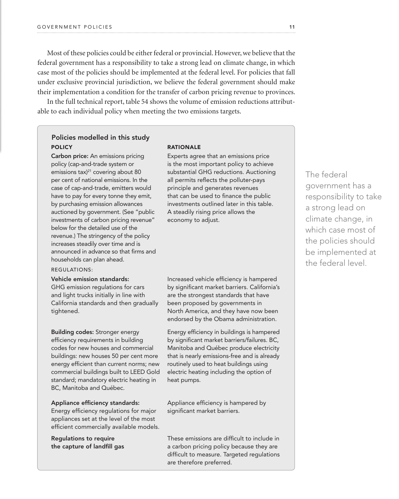Most of these policies could be either federal or provincial. However, we believe that the federal government has a responsibility to take a strong lead on climate change, in which case most of the policies should be implemented at the federal level. For policies that fall under exclusive provincial jurisdiction, we believe the federal government should make their implementation a condition for the transfer of carbon pricing revenue to provinces.

In the full technical report, table 54 shows the volume of emission reductions attributable to each individual policy when meeting the two emissions targets.

### **Exercise Folicies modelled in this study** POLICY **RATIONALE**

Carbon price: An emissions pricing policy (cap-and-trade system or emissions tax)<sup>21</sup> covering about 80 per cent of national emissions. In the case of cap-and-trade, emitters would have to pay for every tonne they emit, by purchasing emission allowances auctioned by government. (See "public investments of carbon pricing revenue" below for the detailed use of the revenue.) The stringency of the policy increases steadily over time and is announced in advance so that firms and households can plan ahead.

#### Regulations:

#### Vehicle emission standards:

GHG emission regulations for cars and light trucks initially in line with California standards and then gradually tightened.

Building codes: Stronger energy efficiency requirements in building codes for new houses and commercial buildings: new houses 50 per cent more energy efficient than current norms; new commercial buildings built to LEED Gold standard; mandatory electric heating in BC, Manitoba and Québec.

#### Appliance efficiency standards:

Energy efficiency regulations for major appliances set at the level of the most efficient commercially available models.

Regulations to require the capture of landfill gas

Experts agree that an emissions price is the most important policy to achieve substantial GHG reductions. Auctioning all permits reflects the polluter-pays principle and generates revenues that can be used to finance the public investments outlined later in this table. A steadily rising price allows the economy to adjust.

Increased vehicle efficiency is hampered by significant market barriers. California's are the strongest standards that have been proposed by governments in North America, and they have now been endorsed by the Obama administration.

Energy efficiency in buildings is hampered by significant market barriers/failures. BC, Manitoba and Québec produce electricity that is nearly emissions-free and is already routinely used to heat buildings using electric heating including the option of heat pumps.

Appliance efficiency is hampered by significant market barriers.

These emissions are difficult to include in a carbon pricing policy because they are difficult to measure. Targeted regulations are therefore preferred.

The federal government has a responsibility to take a strong lead on climate change, in which case most of the policies should be implemented at the federal level.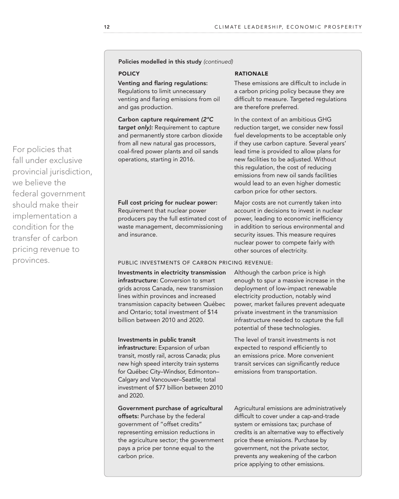Policies modelled in this study *(continued)*

#### Venting and flaring regulations:

Regulations to limit unnecessary venting and flaring emissions from oil and gas production.

Carbon capture requirement *(2°C target only):* Requirement to capture and permanently store carbon dioxide from all new natural gas processors, coal-fired power plants and oil sands operations, starting in 2016.

#### Full cost pricing for nuclear power: Requirement that nuclear power producers pay the full estimated cost of waste management, decommissioning and insurance.

#### POLICY **RATIONALE**

These emissions are difficult to include in a carbon pricing policy because they are difficult to measure. Targeted regulations are therefore preferred.

In the context of an ambitious GHG reduction target, we consider new fossil fuel developments to be acceptable only if they use carbon capture. Several years' lead time is provided to allow plans for new facilities to be adjusted. Without this regulation, the cost of reducing emissions from new oil sands facilities would lead to an even higher domestic carbon price for other sectors.

Major costs are not currently taken into account in decisions to invest in nuclear power, leading to economic inefficiency in addition to serious environmental and security issues. This measure requires nuclear power to compete fairly with other sources of electricity.

#### Public investments of carbon pricing revenue:

Investments in electricity transmission infrastructure: Conversion to smart grids across Canada, new transmission lines within provinces and increased transmission capacity between Québec and Ontario; total investment of \$14 billion between 2010 and 2020.

#### Investments in public transit

infrastructure: Expansion of urban transit, mostly rail, across Canada; plus new high speed intercity train systems for Québec City–Windsor, Edmonton– Calgary and Vancouver–Seattle; total investment of \$77 billion between 2010 and 2020.

Government purchase of agricultural offsets: Purchase by the federal government of "offset credits" representing emission reductions in the agriculture sector; the government pays a price per tonne equal to the carbon price.

Although the carbon price is high enough to spur a massive increase in the deployment of low-impact renewable electricity production, notably wind power, market failures prevent adequate private investment in the transmission infrastructure needed to capture the full potential of these technologies.

The level of transit investments is not expected to respond efficiently to an emissions price. More convenient transit services can significantly reduce emissions from transportation.

Agricultural emissions are administratively difficult to cover under a cap-and-trade system or emissions tax; purchase of credits is an alternative way to effectively price these emissions. Purchase by government, not the private sector, prevents any weakening of the carbon price applying to other emissions.

For policies that fall under exclusive provincial jurisdiction, we believe the federal government should make their implementation a condition for the transfer of carbon pricing revenue to provinces.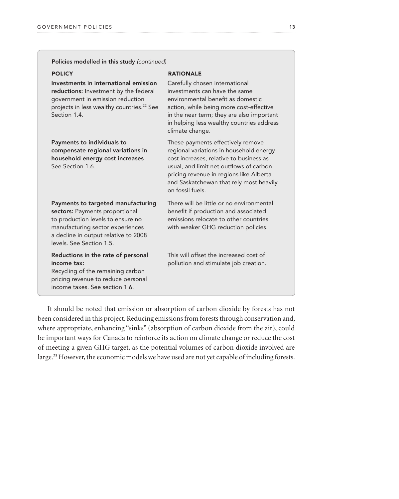| Policies modelled in this study (continued)                                                                                                                                                                       |                                                                                                                                                                                                                                                                              |
|-------------------------------------------------------------------------------------------------------------------------------------------------------------------------------------------------------------------|------------------------------------------------------------------------------------------------------------------------------------------------------------------------------------------------------------------------------------------------------------------------------|
| <b>POLICY</b>                                                                                                                                                                                                     | <b>RATIONALE</b>                                                                                                                                                                                                                                                             |
| Investments in international emission<br>reductions: Investment by the federal<br>government in emission reduction<br>projects in less wealthy countries. <sup>22</sup> See<br>Section 1.4.                       | Carefully chosen international<br>investments can have the same<br>environmental benefit as domestic<br>action, while being more cost-effective<br>in the near term; they are also important<br>in helping less wealthy countries address<br>climate change.                 |
| Payments to individuals to<br>compensate regional variations in<br>household energy cost increases<br>See Section 1.6.                                                                                            | These payments effectively remove<br>regional variations in household energy<br>cost increases, relative to business as<br>usual, and limit net outflows of carbon<br>pricing revenue in regions like Alberta<br>and Saskatchewan that rely most heavily<br>on fossil fuels. |
| Payments to targeted manufacturing<br>sectors: Payments proportional<br>to production levels to ensure no<br>manufacturing sector experiences<br>a decline in output relative to 2008<br>levels. See Section 1.5. | There will be little or no environmental<br>benefit if production and associated<br>emissions relocate to other countries<br>with weaker GHG reduction policies.                                                                                                             |
| Reductions in the rate of personal<br>income tax:<br>Recycling of the remaining carbon<br>pricing revenue to reduce personal<br>income taxes. See section 1.6.                                                    | This will offset the increased cost of<br>pollution and stimulate job creation.                                                                                                                                                                                              |

It should be noted that emission or absorption of carbon dioxide by forests has not been considered in this project. Reducing emissions from forests through conservation and, where appropriate, enhancing "sinks" (absorption of carbon dioxide from the air), could be important ways for Canada to reinforce its action on climate change or reduce the cost of meeting a given GHG target, as the potential volumes of carbon dioxide involved are large.<sup>23</sup> However, the economic models we have used are not yet capable of including forests.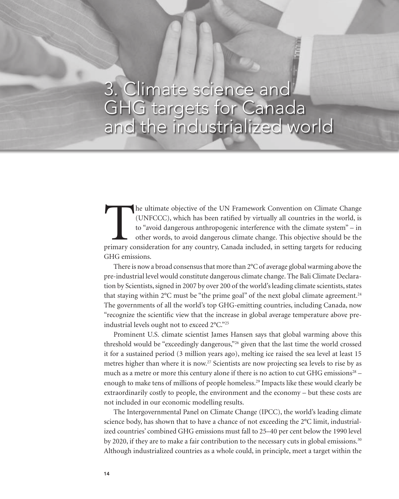### 3. Climate science and GHG targets for Canada and the industrialized world

14 c l i m at e l i m at e r s h i p, E c o n o m i c p e r o m i c p e r o m i c p e r o m i c p e r o s p e

The ultimate objective of the UN Framework Convention on Climate Change (UNFCCC), which has been ratified by virtually all countries in the world, is to "avoid dangerous anthropogenic interference with the climate system" (UNFCCC), which has been ratified by virtually all countries in the world, is to "avoid dangerous anthropogenic interference with the climate system" – in other words, to avoid dangerous climate change. This objective should be the GHG emissions.

There is now a broad consensus that more than 2°C of average global warming above the pre-industrial level would constitute dangerous climate change. The Bali Climate Declaration by Scientists, signed in 2007 by over 200 of the world's leading climate scientists, states that staying within  $2^{\circ}C$  must be "the prime goal" of the next global climate agreement.<sup>24</sup> The governments of all the world's top GHG-emitting countries, including Canada, now "recognize the scientific view that the increase in global average temperature above preindustrial levels ought not to exceed 2°C."25

Prominent U.S. climate scientist James Hansen says that global warming above this threshold would be "exceedingly dangerous,"26 given that the last time the world crossed it for a sustained period (3 million years ago), melting ice raised the sea level at least 15 metres higher than where it is now.<sup>27</sup> Scientists are now projecting sea levels to rise by as much as a metre or more this century alone if there is no action to cut GHG emissions<sup>28</sup> – enough to make tens of millions of people homeless.<sup>29</sup> Impacts like these would clearly be extraordinarily costly to people, the environment and the economy – but these costs are not included in our economic modelling results.

The Intergovernmental Panel on Climate Change (IPCC), the world's leading climate science body, has shown that to have a chance of not exceeding the 2°C limit, industrialized countries' combined GHG emissions must fall to 25–40 per cent below the 1990 level by 2020, if they are to make a fair contribution to the necessary cuts in global emissions.<sup>30</sup> Although industrialized countries as a whole could, in principle, meet a target within the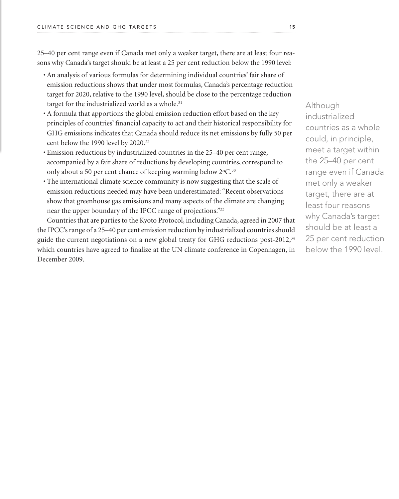25–40 per cent range even if Canada met only a weaker target, there are at least four reasons why Canada's target should be at least a 25 per cent reduction below the 1990 level:

- An analysis of various formulas for determining individual countries' fair share of emission reductions shows that under most formulas, Canada's percentage reduction target for 2020, relative to the 1990 level, should be close to the percentage reduction target for the industrialized world as a whole.<sup>31</sup>
- A formula that apportions the global emission reduction effort based on the key principles of countries' financial capacity to act and their historical responsibility for GHG emissions indicates that Canada should reduce its net emissions by fully 50 per cent below the 1990 level by 2020.32
- Emission reductions by industrialized countries in the 25–40 per cent range, accompanied by a fair share of reductions by developing countries, correspond to only about a 50 per cent chance of keeping warming below 2°C.<sup>30</sup>
- The international climate science community is now suggesting that the scale of emission reductions needed may have been underestimated: "Recent observations show that greenhouse gas emissions and many aspects of the climate are changing near the upper boundary of the IPCC range of projections."33

Countries that are parties to the Kyoto Protocol, including Canada, agreed in 2007 that the IPCC's range of a 25–40 per cent emission reduction by industrialized countries should guide the current negotiations on a new global treaty for GHG reductions post-2012, $34$ which countries have agreed to finalize at the UN climate conference in Copenhagen, in December 2009.

Although industrialized countries as a whole could, in principle, meet a target within the 25–40 per cent range even if Canada met only a weaker target, there are at least four reasons why Canada's target should be at least a 25 per cent reduction below the 1990 level.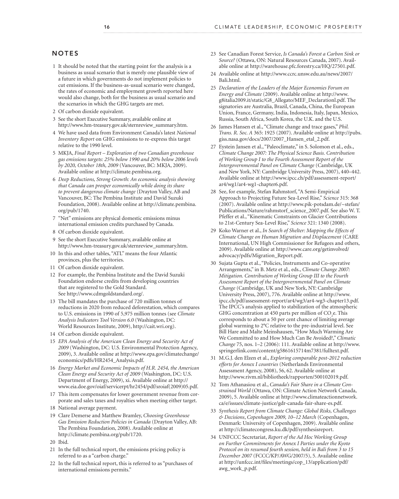#### **NOTES**

- 1 It should be noted that the starting point for the analysis is a business as usual scenario that is merely one plausible view of a future in which governments do not implement policies to cut emissions. If the business-as-usual scenario were changed, the rates of economic and employment growth reported here would also change, both for the business as usual scenario and the scenarios in which the GHG targets are met.
- 2 Of carbon dioxide equivalent.
- 3 See the short Executive Summary, available online at http://www.hm-treasury.gov.uk/sternreview\_summary.htm.
- 4 We have used data from Environment Canada's latest *National Inventory Report* on GHG emissions to re-express this target relative to the 1990 level.
- 5 MKJA, *Final Report Exploration of two Canadian greenhouse gas emissions targets: 25% below 1990 and 20% below 2006 levels by 2020, October 18th, 2009* (Vancouver, BC: MKJA, 2009). Available online at http://climate.pembina.org.
- 6 *Deep Reductions, Strong Growth: An economic analysis showing that Canada can prosper economically while doing its share to prevent dangerous climate change* (Drayton Valley, AB and Vancouver, BC: The Pembina Institute and David Suzuki Foundation, 2008). Available online at http://climate.pembina. org/pub/1740.
- 7 "Net" emissions are physical domestic emissions minus international emission credits purchased by Canada.
- 8 Of carbon dioxide equivalent.
- 9 See the short Executive Summary, available online at http://www.hm-treasury.gov.uk/sternreview\_summary.htm.
- 10 In this and other tables, "ATL" means the four Atlantic provinces, plus the territories.
- 11 Of carbon dioxide equivalent.
- 12 For example, the Pembina Institute and the David Suzuki Foundation endorse credits from developing countries that are registered to the Gold Standard. See http://www.cdmgoldstandard.org/.
- 13 The bill mandates the purchase of 720 million tonnes of reductions in 2020 from reduced deforestation, which compares to U.S. emissions in 1990 of 5,975 million tonnes (see *Climate Analysis Indicators Tool Version 6.0* (Washington, DC: World Resources Institute, 2009), http://cait.wri.org).
- 14 Of carbon dioxide equivalent.
- 15 *EPA Analysis of the American Clean Energy and Security Act of 2009* (Washington, DC: U.S. Environmental Protection Agency, 2009), 3. Available online at http://www.epa.gov/climatechange/ economics/pdfs/HR2454\_Analysis.pdf.
- 16 *Energy Market and Economic Impacts of H.R. 2454, the American Clean Energy and Security Act of 2009* (Washington, DC: U.S. Department of Energy, 2009), xi. Available online at http:// www.eia.doe.gov/oiaf/servicerpt/hr2454/pdf/sroiaf(2009)05.pdf.
- 17 This item compensates for lower government revenue from corporate and sales taxes and royalties when meeting either target.
- 18 National average payment.
- 19 Clare Demerse and Matthew Bramley, *Choosing Greenhouse Gas Emission Reduction Policies in Canada* (Drayton Valley, AB: The Pembina Foundation, 2008). Available online at http://climate.pembina.org/pub/1720.
- 20 Ibid.
- 21 In the full technical report, the emissions pricing policy is referred to as a "carbon charge."
- 22 In the full technical report, this is referred to as "purchases of international emissions permits."
- 23 See Canadian Forest Service, *Is Canada's Forest a Carbon Sink or Source?* (Ottawa, ON: Natural Resources Canada, 2007). Available online at http://warehouse.pfc.forestry.ca/HQ/27501.pdf.
- 24 Available online at http://www.ccrc.unsw.edu.au/news/2007/ Bali.html.
- 25 *Declaration of the Leaders of the Major Economies Forum on Energy and Climate* (2009). Available online at http://www. g8italia2009.it/static/G8\_Allegato/MEF\_Declarationl.pdf. The signatories are Australia, Brazil, Canada, China, the European Union, France, Germany, India, Indonesia, Italy, Japan, Mexico, Russia, South Africa, South Korea, the U.K. and the U.S.
- 26 James Hansen et al., "Climate change and trace gases," *Phil. Trans. R. Soc. A* 365: 1925 (2007). Available online at http://pubs. giss.nasa.gov/docs/2007/2007\_Hansen\_etal\_2.pdf.
- 27 Eystein Jansen et al., "Paleoclimate," in S. Solomon et al., eds., *Climate Change 2007: The Physical Science Basis. Contribution of Working Group I to the Fourth Assessment Report of the Intergovernmental Panel on Climate Change* (Cambridge, UK and New York, NY: Cambridge University Press, 2007), 440–442. Available online at http://www.ipcc.ch/pdf/assessment-report/ ar4/wg1/ar4-wg1-chapter6.pdf.
- 28 See, for example, Stefan Rahmstorf, "A Semi-Empirical Approach to Projecting Future Sea-Level Rise," *Science* 315: 368 (2007). Available online at http://www.pik-potsdam.de/~stefan/ Publications/Nature/rahmstorf\_science\_2007.pdf. See also W. T. Pfeffer et al., "Kinematic Constraints on Glacier Contributions to 21st-Century Sea-Level Rise," *Science* 321: 1340 (2008).
- 29 Koko Warner et al., *In Search of Shelter: Mapping the Effects of Climate Change on Human Migration and Displacement* (CARE International, UN High Commissioner for Refugees and others, 2009). Available online at http://www.care.org/getinvolved/ advocacy/pdfs/Migration\_Report.pdf.
- 30 Sujata Gupta et al., "Policies, Instruments and Co-operative Arrangements," in B. Metz et al., eds., *Climate Change 2007: Mitigation. Contribution of Working Group III to the Fourth Assessment Report of the Intergovernmental Panel on Climate Change* (Cambridge, UK and New York, NY: Cambridge University Press, 2007), 776. Available online at http://www. ipcc.ch/pdf/assessment-report/ar4/wg3/ar4-wg3-chapter13.pdf. The IPCC's analysis applied to stabilization of the atmospheric GHG concentration at 450 parts per million of  $CO<sub>2</sub>e$ . This corresponds to about a 50 per cent chance of limiting average global warming to 2°C relative to the pre-industrial level. See Bill Hare and Malte Meinshausen, "How Much Warming Are We Committed to and How Much Can Be Avoided?," *Climatic Change* 75, nos. 1–2 (2006): 111. Available online at http://www. springerlink.com/content/g5861615714m7381/fulltext.pdf.
- 31 M.G.J. den Elzen et al., *Exploring comparable post-2012 reduction efforts for Annex I countries* (Netherlands Environmental Assessment Agency, 2008), 56, 62. Available online at http://www.rivm.nl/bibliotheek/rapporten/500102019.pdf.
- 32 Tom Athanasiou et al., *Canada's Fair Share in a Climate Constrained World* (Ottawa, ON: Climate Action Network Canada, 2009), 5. Available online at http://www.climateactionnetwork. ca/e/issues/climate-justice/gdr-canada-fair-share-es.pdf.
- 33 *Synthesis Report from Climate Change: Global Risks, Challenges & Decisions*, *Copenhagen 2009, 10–12 March* (Copenhagen, Denmark: University of Copenhagen, 2009). Available online at http://climatecongress.ku.dk/pdf/synthesisreport.
- 34 UNFCCC Secretariat, *Report of the Ad Hoc Working Group on Further Commitments for Annex I Parties under the Kyoto Protocol on its resumed fourth session, held in Bali from 3 to 15 December 2007* (FCCC/KP/AWG/2007/5), 5. Available online at http://unfccc.int/files/meetings/cop\_13/application/pdf/ awg\_work\_p.pdf.